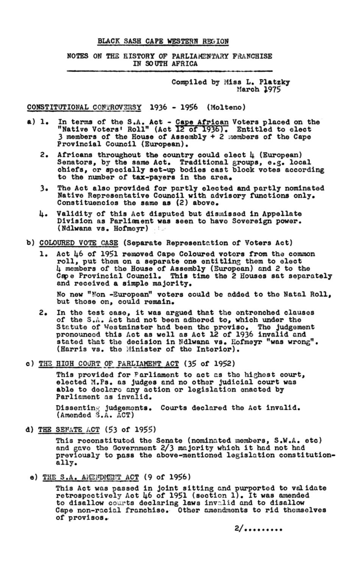## BLACK SASH CAPE WESTERN REGION

NOTES ON THE RISTORY OF PARLIAMENTARY FRANCHISE IN SOUTH AFRICA

> Compiled by Miss L. Platzky March 1975

CONSTITUTIONAL CONTROVERSY 1936 - 1956 (Molteno)

- a) 1. In terms of the S.A. Act Cape African Voters placed on the "Native Voters' Roll" (Act 12 of 1936). Entitled to elect 3 members of the House of Assembly + 2 members of the Cape Provincial Council (European).
	- 2. Africans throughout the country could elect  $\mu$  (European) Senators, by the same Act. Traditional groups, e.g. local chiefs, or specially set-up bodies cast block votes according to the number of tax-payers in the area.
	- The Act also provided for partly elected and partly nominated 3. Native Representative Council with advisory functions only. Constituencies the same as (2) above.
	- Validity of this Act disputed but dismissed in Appellate 4. Division as Parlianent was seen to have Sovereign power. (Ndlwana vs. Hofmeyr)
- b) COLOURED VOTE CASE (Separate Representation of Voters Act)
	- Act 46 of 1951 removed Cape Coloured voters from the common 1. roll, put them on a separate one entitling them to elect 4 members of the House of Assembly (European) and 2 to the Cape Provincial Council. This time the 2 Houses sat separately and received a simple majority.

No new "Non -European" voters could be added to the Natal Roll, but those on, could remain.

- 2. In the test case, it was argued that the entrenched clauses of the S.A. Act had not been adhered to, which under the Statute of Westminster had been the proviso. The judgement pronounced this Act as well as Act 12 of 1936 invalid and stated that the decision in Ndlwana vs. Hofmeyr "was wrong". (Harris vs. the Minister of the Interior).
- c) THE HIGH COURT OF PARLIAMENT ACT (35 of 1952)

This provided for Parliament to act as the highest court, elected M.Ps. as judges and no other judicial court was able to declare any action or legislation enacted by Parliament as invalid.

Dissenting judgements. Courts declared the Act invalid.  $(\text{Amended } S.A.$   $\overline{A}CT)$ 

d) THE SENATE ACT (53 of 1955)

This reconstituted the Senate (nominated members, S.W.A. etc) and gave the Government 2/3 majority which it had not had previously to pass the above-mentioned legislation constitutionally.

e) THE S.A. AMENDMENT ACT  $(9$  of 1956)

This Act was passed in joint sitting and purported to validate retrospectively Act 46 of 1951 (section 1). It was amended to disallow courts declaring laws invalid and to disallow Cape non-racial franchise. Other amendments to rid themselves of provisos.

 $2/$ ........